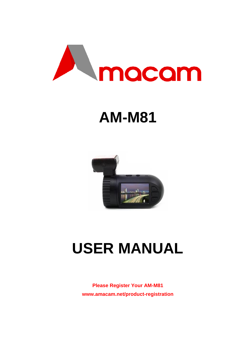

# **AM-M81**



# **USER MANUAL**

**Please Register Your AM-M81 [www.amacam.net/product-registration](http://www.amacam.net/product-registration)**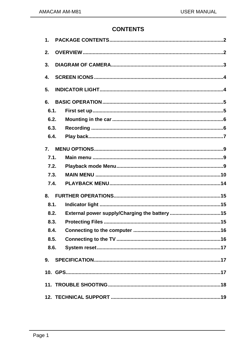## **CONTENTS**

| $\mathbf 1$ .             |  |  |  |  |  |
|---------------------------|--|--|--|--|--|
| 2.                        |  |  |  |  |  |
| 3.                        |  |  |  |  |  |
| $\overline{\mathbf{4}}$ . |  |  |  |  |  |
| 5.                        |  |  |  |  |  |
| 6.                        |  |  |  |  |  |
| 6.1.                      |  |  |  |  |  |
| 6.2.                      |  |  |  |  |  |
| 6.3.                      |  |  |  |  |  |
| 6.4.                      |  |  |  |  |  |
| $\overline{7}$ .          |  |  |  |  |  |
| 7.1.                      |  |  |  |  |  |
| 7.2.                      |  |  |  |  |  |
| 7.3.                      |  |  |  |  |  |
| 7.4.                      |  |  |  |  |  |
| 8.                        |  |  |  |  |  |
| 8.1.                      |  |  |  |  |  |
| 8.2.                      |  |  |  |  |  |
| 8.3.                      |  |  |  |  |  |
| 8.4.                      |  |  |  |  |  |
| 8.5.                      |  |  |  |  |  |
| 8.6.                      |  |  |  |  |  |
| 9.                        |  |  |  |  |  |
|                           |  |  |  |  |  |
|                           |  |  |  |  |  |
|                           |  |  |  |  |  |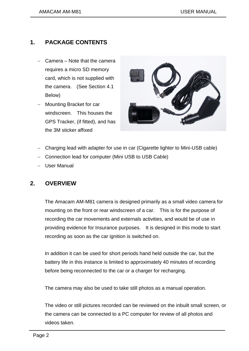## <span id="page-3-0"></span>**1. PACKAGE CONTENTS**

- Camera Note that the camera requires a micro SD memory card, which is not supplied with the camera. (See Section 4.1 Below)
- Mounting Bracket for car windscreen. This houses the GPS Tracker, (if fitted), and has the 3M sticker affixed



- Charging lead with adapter for use in car (Cigarette lighter to Mini-USB cable)
- Connection lead for computer (Mini USB to USB Cable)
- User Manual

## <span id="page-3-1"></span>**2. OVERVIEW**

The Amacam AM-M81 camera is designed primarily as a small video camera for mounting on the front or rear windscreen of a car. This is for the purpose of recording the car movements and externals activities, and would be of use in providing evidence for Insurance purposes. It is designed in this mode to start recording as soon as the car ignition is switched on.

In addition it can be used for short periods hand held outside the car, but the battery life in this instance is limited to approximately 40 minutes of recording before being reconnected to the car or a charger for recharging.

The camera may also be used to take still photos as a manual operation.

The video or still pictures recorded can be reviewed on the inbuilt small screen, or the camera can be connected to a PC computer for review of all photos and videos taken.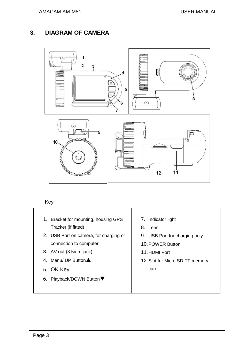# <span id="page-4-0"></span>**3. DIAGRAM OF CAMERA**



#### Key

- 1. Bracket for mounting, housing GPS Tracker (if fitted)
- 2. USB Port on camera, for charging or connection to computer
- 3. AV out (3.5mm jack)
- 4. Menu/ UP Button  $\triangle$
- 5. OK Key
- 6. Playback/DOWN Button
- 7. Indicator light
- 8. Lens
- 9. USB Port for charging only
- 10.POWER Button
- 11.HDMI Port
- 12.Slot for Micro SD-TF memory card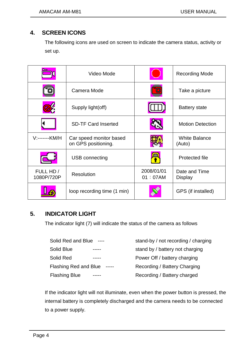# <span id="page-5-0"></span>**4. SCREEN ICONS**

The following icons are used on screen to indicate the camera status, activity or set up.

|                         | Video Mode                                     |                       | <b>Recording Mode</b>           |
|-------------------------|------------------------------------------------|-----------------------|---------------------------------|
|                         | Camera Mode                                    |                       | Take a picture                  |
|                         | Supply light(off)                              |                       | <b>Battery state</b>            |
|                         | <b>SD-TF Card Inserted</b>                     |                       | <b>Motion Detection</b>         |
| V:-------KM/H           | Car speed monitor based<br>on GPS positioning. |                       | <b>White Balance</b><br>(Auto)  |
|                         | USB connecting                                 |                       | Protected file                  |
| FULL HD /<br>1080P/720P | Resolution                                     | 2008/01/01<br>01:07AM | Date and Time<br><b>Display</b> |
|                         | loop recording time (1 min)                    |                       | GPS (if installed)              |

# <span id="page-5-1"></span>**5. INDICATOR LIGHT**

The indicator light (7) will indicate the status of the camera as follows

| Solid Red and Blue<br>$---$       | stand-by / not recording / charging |
|-----------------------------------|-------------------------------------|
| Solid Blue                        | stand by / battery not charging     |
| Solid Red                         | Power Off / battery charging        |
| Flashing Red and Blue<br>$-----1$ | Recording / Battery Charging        |
| <b>Flashing Blue</b>              | Recording / Battery charged         |

If the indicator light will not illuminate, even when the power button is pressed, the internal battery is completely discharged and the camera needs to be connected to a power supply.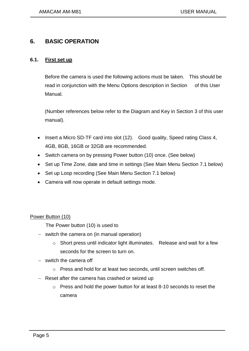## <span id="page-6-0"></span>**6. BASIC OPERATION**

#### <span id="page-6-1"></span>**6.1. First set up**

Before the camera is used the following actions must be taken. This should be read in conjunction with the Menu Options description in Section of this User Manual.

(Number references below refer to the Diagram and Key in Section 3 of this user manual).

- Insert a Micro SD-TF card into slot (12). Good quality, Speed rating Class 4, 4GB, 8GB, 16GB or 32GB are recommended.
- Switch camera on by pressing Power button (10) once. (See below)
- Set up Time Zone, date and time in settings (See Main Menu Section 7.1 below)
- Set up Loop recording (See Main Menu Section 7.1 below)
- Camera will now operate in default settings mode.

Power Button (10)

The Power button (10) is used to

- $-$  switch the camera on (in manual operation)
	- o Short press until indicator light illuminates. Release and wait for a few seconds for the screen to turn on.
- $-$  switch the camera off
	- o Press and hold for at least two seconds, until screen switches off.
- Reset after the camera has crashed or seized up
	- o Press and hold the power button for at least 8-10 seconds to reset the camera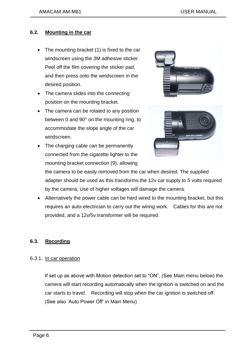#### <span id="page-7-0"></span>**6.2. Mounting in the car**

- The mounting bracket (1) is fixed to the car windscreen using the 3M adhesive sticker. Peel off the film covering the sticker pad, and then press onto the windscreen in the desired position.
- The camera slides into the connecting position on the mounting bracket.
- The camera can be rotated to any position between 0 and 90° on the mounting ring, to accommodate the slope angle of the car windscreen.
- The charging cable can be permanently connected from the cigarette lighter to the mounting bracket connection (9), allowing



the camera to be easily removed from the car when desired. The supplied adapter should be used as this transforms the 12v car supply to 5 volts required by the camera, Use of higher voltages will damage the camera.

 Alternatively the power cable can be hard wired to the mounting bracket, but this requires an auto-electrician to carry out the wiring work. Cables for this are not provided, and a 12v/5v transformer will be required.

## <span id="page-7-1"></span>**6.3. Recording**

#### 6.3.1. In car operation

If set up as above with Motion detection set to "ON", (See Main menu below) the camera will start recording automatically when the ignition is switched on and the car starts to travel. Recording will stop when the car ignition is switched off. (See also 'Auto Power Off' in Main Menu)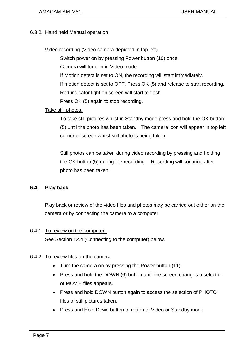#### 6.3.2. Hand held Manual operation

#### Video recording (Video camera depicted in top left)

Switch power on by pressing Power button (10) once.

Camera will turn on in Video mode

If Motion detect is set to ON, the recording will start immediately.

If motion detect is set to OFF, Press OK (5) and release to start recording.

Red indicator light on screen will start to flash

Press OK (5) again to stop recording.

#### Take still photos.

To take still pictures whilst in Standby mode press and hold the OK button (5) until the photo has been taken. The camera icon will appear in top left corner of screen whilst still photo is being taken.

Still photos can be taken during video recording by pressing and holding the OK button (5) during the recording. Recording will continue after photo has been taken.

#### <span id="page-8-0"></span>**6.4. Play back**

Play back or review of the video files and photos may be carried out either on the camera or by connecting the camera to a computer.

#### 6.4.1. To review on the computer

See Section 12.4 (Connecting to the computer) below.

#### 6.4.2. To review files on the camera

- Turn the camera on by pressing the Power button (11)
- Press and hold the DOWN (6) button until the screen changes a selection of MOVIE files appears.
- Press and hold DOWN button again to access the selection of PHOTO files of still pictures taken.
- Press and Hold Down button to return to Video or Standby mode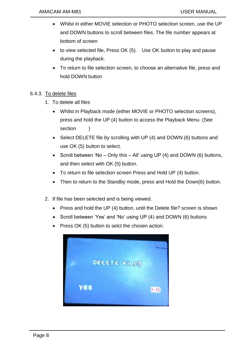- Whilst in either MOVIE selection or PHOTO selection screen, use the UP and DOWN buttons to scroll between files. The file number appears at bottom of screen
- to view selected file, Press OK (5). Use OK button to play and pause during the playback.
- To return to file selection screen, to choose an alternative file, press and hold DOWN button

## 6.4.3. To delete files

- 1. To delete all files
	- Whilst in Playback mode (either MOVIE or PHOTO selection screens), press and hold the UP (4) button to access the Playback Menu. (See section
	- Select DELETE file by scrolling with UP (4) and DOWN (6) buttons and use OK (5) button to select.
	- Scroll between 'No Only this All' using UP (4) and DOWN (6) buttons, and then select with OK (5) button.
	- To return to file selection screen Press and Hold UP (4) button.
	- Then to return to the Standby mode, press and Hold the Down(6) button.
- 2. If file has been selected and is being viewed.
	- Press and hold the UP (4) button, until the Delete file? screen is shown
	- Scroll between 'Yes' and 'No' using UP (4) and DOWN (6) buttons
	- Press OK (5) button to selct the chosen action.

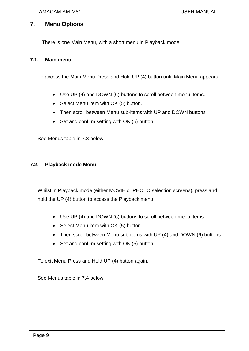## <span id="page-10-0"></span>**7. Menu Options**

There is one Main Menu, with a short menu in Playback mode.

#### <span id="page-10-1"></span>**7.1. Main menu**

To access the Main Menu Press and Hold UP (4) button until Main Menu appears.

- Use UP (4) and DOWN (6) buttons to scroll between menu items.
- Select Menu item with OK (5) button.
- Then scroll between Menu sub-items with UP and DOWN buttons
- Set and confirm setting with OK (5) button

See Menus table in 7.3 below

#### <span id="page-10-2"></span>**7.2. Playback mode Menu**

Whilst in Playback mode (either MOVIE or PHOTO selection screens), press and hold the UP (4) button to access the Playback menu.

- Use UP (4) and DOWN (6) buttons to scroll between menu items.
- Select Menu item with OK (5) button.
- Then scroll between Menu sub-items with UP (4) and DOWN (6) buttons
- Set and confirm setting with OK (5) button

To exit Menu Press and Hold UP (4) button again.

See Menus table in 7.4 below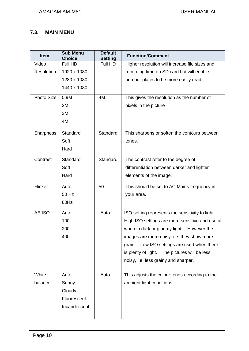## **7.3. MAIN MENU**

| <b>Item</b>       | <b>Sub Menu</b><br><b>Choice</b> | <b>Default</b><br><b>Setting</b> | <b>Function/Comment</b>                          |
|-------------------|----------------------------------|----------------------------------|--------------------------------------------------|
| Video             | Full HD,                         | Full HD                          | Higher resolution will increase file sizes and   |
| <b>Resolution</b> | 1920 x 1080                      |                                  | recording time on SD card but will enable        |
|                   | 1280 x 1080                      |                                  | number plates to be more easily read.            |
|                   | 1440 x 1080                      |                                  |                                                  |
| <b>Photo Size</b> | 0.9M                             | 4M                               | This gives the resolution as the number of       |
|                   | 2M                               |                                  | pixels in the picture                            |
|                   | 3M                               |                                  |                                                  |
|                   | 4M                               |                                  |                                                  |
| <b>Sharpness</b>  | Standard                         | Standard                         | This sharpens or soften the contours between     |
|                   | Soft                             |                                  | tones.                                           |
|                   | Hard                             |                                  |                                                  |
| Contrast          | Standard                         | Standard                         | The contrast refer to the degree of              |
|                   | Soft                             |                                  | differentiation between darker and lighter       |
|                   | Hard                             |                                  | elements of the image.                           |
| Flicker           | Auto                             | 50                               | This should be set to AC Mains frequency in      |
|                   | 50 Hz                            |                                  | your area.                                       |
|                   | 60Hz                             |                                  |                                                  |
| AE ISO            | Auto                             | Auto                             | ISO setting represents the sensitivity to light. |
|                   | 100                              |                                  | High ISO settings are more sensitive and useful  |
|                   | 200                              |                                  | when in dark or gloomy light. However the        |
|                   | 400                              |                                  | images are more noisy, i.e. they show more       |
|                   |                                  |                                  | Low ISO settings are used when there<br>grain.   |
|                   |                                  |                                  | is plenty of light. The pictures will be less    |
|                   |                                  |                                  | noisy, i.e. less grainy and sharper.             |
| White             | Auto                             | Auto                             | This adjusts the colour tones according to the   |
| balance           | Sunny                            |                                  | ambient light conditions.                        |
|                   | Cloudy                           |                                  |                                                  |
|                   | Fluorescent                      |                                  |                                                  |
|                   | Incandescent                     |                                  |                                                  |
|                   |                                  |                                  |                                                  |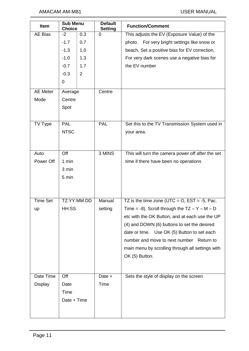| Item            | <b>Sub Menu</b><br><b>Choice</b> |                | <b>Default</b><br><b>Setting</b> | <b>Function/Comment</b>                           |
|-----------------|----------------------------------|----------------|----------------------------------|---------------------------------------------------|
| AE Bias         | 0.3<br>$-2$                      |                | $\overline{0}$                   | This adjusts the EV (Exposure Value) of the       |
|                 | $-1.7$                           | 0.7            |                                  | photo. For very bright settings like snow or      |
|                 | $-1.3$                           | 1.0            |                                  | beach, Set a positive bias for EV correction,     |
|                 | $-1.0$                           | 1.3            |                                  | For very dark scenes use a negative bias for      |
|                 | $-0.7$                           | 1.7            |                                  | the EV number                                     |
|                 | $-0.3$                           | $\overline{2}$ |                                  |                                                   |
|                 | 0                                |                |                                  |                                                   |
| <b>AE Meter</b> | Average                          |                | Centre                           |                                                   |
| Mode            | Centre                           |                |                                  |                                                   |
|                 | Spot                             |                |                                  |                                                   |
|                 |                                  |                |                                  |                                                   |
| TV Type         | <b>PAL</b>                       |                | <b>PAL</b>                       | Set this to the TV Transmission System used in    |
|                 | <b>NTSC</b>                      |                |                                  | your area.                                        |
|                 |                                  |                |                                  |                                                   |
| Auto            | $\overline{Off}$                 |                | 3 MINS                           | This will turn the camera power off after the set |
|                 |                                  |                |                                  |                                                   |
| Power Off       | 1 min                            |                |                                  | time if there have been no operations             |
|                 | 3 min                            |                |                                  |                                                   |
|                 | 5 min                            |                |                                  |                                                   |
|                 |                                  |                |                                  |                                                   |
| <b>Time Set</b> |                                  | TZ:YY:MM:DD    | Manual                           | TZ is the time zone (UTC = $O$ , EST = -5, Pac.   |
| up              | HH:SS                            |                | setting                          | Time = -8). Scroll through the $TZ - Y - M - D$   |
|                 |                                  |                |                                  | etc with the OK Button, and at each use the UP    |
|                 |                                  |                |                                  | (4) and DOWN (6) buttons to set the desired       |
|                 |                                  |                |                                  | date or time. Use OK (5) Button to set each       |
|                 |                                  |                |                                  | number and move to next number<br>Return to       |
|                 |                                  |                |                                  | main menu by scrolling through all settings with  |
|                 |                                  |                |                                  | OK (5) Button.                                    |
|                 |                                  |                |                                  |                                                   |
|                 |                                  |                |                                  |                                                   |
| Date Time       | Off                              |                | Date +                           | Sets the style of display on the screen           |
| <b>Display</b>  | Date                             |                | Time                             |                                                   |
|                 | <b>Time</b>                      |                |                                  |                                                   |
|                 | Date + Time                      |                |                                  |                                                   |
|                 |                                  |                |                                  |                                                   |
|                 |                                  |                |                                  |                                                   |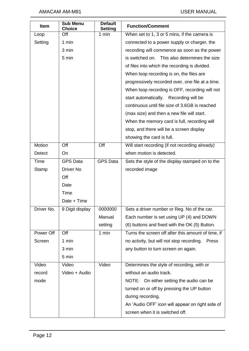| <b>Item</b>   | <b>Sub Menu</b><br><b>Choice</b> | <b>Default</b><br><b>Setting</b> | <b>Function/Comment</b>                            |
|---------------|----------------------------------|----------------------------------|----------------------------------------------------|
| Loop          | Off                              | 1 min                            | When set to 1, 3 or 5 mins, if the camera is       |
| Setting       | 1 min                            |                                  | connected to a power supply or charger, the        |
|               | 3 min                            |                                  | recording will commence as soon as the power       |
|               | 5 min                            |                                  | is switched on. This also determines the size      |
|               |                                  |                                  | of files into which the recording is divided.      |
|               |                                  |                                  | When loop recording is on, the files are           |
|               |                                  |                                  | progressively recorded over, one file at a time.   |
|               |                                  |                                  | When loop recording is OFF, recording will not     |
|               |                                  |                                  | start automatically. Recording will be             |
|               |                                  |                                  | continuous until file size of 3.6GB is reached     |
|               |                                  |                                  | (max size) and then a new file will start.         |
|               |                                  |                                  | When the memory card is full, recording will       |
|               |                                  |                                  | stop, and there will be a screen display           |
|               |                                  |                                  | showing the card is full.                          |
| Motion        | Off                              | Off                              | Will start recording (if not recording already)    |
| <b>Detect</b> | On                               |                                  | when motion is detected.                           |
| Time          | <b>GPS Data</b>                  | <b>GPS Data</b>                  | Sets the style of the display stamped on to the    |
| Stamp         | Driver No                        |                                  | recorded image                                     |
|               | Off                              |                                  |                                                    |
|               | Date                             |                                  |                                                    |
|               | Time                             |                                  |                                                    |
|               | Date + Time                      |                                  |                                                    |
| Driver No.    | 9 Digit display                  | 0000000                          | Sets a driver number or Reg. No of the car.        |
|               |                                  | Manual                           | Each number is set using UP (4) and DOWN           |
|               |                                  | setting                          | (6) buttons and fixed with the OK (5) Button.      |
| Power Off     | Off                              | $\overline{1}$ min               | Turns the screen off after this amount of time, if |
| Screen        | 1 min                            |                                  | no activity, but will not stop recording.<br>Press |
|               | 3 min                            |                                  | any button to turn screen on again.                |
|               | 5 min                            |                                  |                                                    |
| Video         | Video                            | Video                            | Determines the style of recording, with or         |
| record        | Video + Audio                    |                                  | without an audio track.                            |
| mode          |                                  |                                  | NOTE: On either setting the audio can be           |
|               |                                  |                                  | turned on or off by pressing the UP button         |
|               |                                  |                                  | during recording.                                  |
|               |                                  |                                  | An 'Audio OFF' icon will appear on right side of   |
|               |                                  |                                  | screen when it is switched off.                    |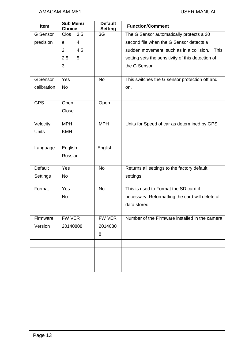| Item                          | <b>Sub Menu</b><br><b>Choice</b> |     | <b>Default</b><br><b>Setting</b> | <b>Function/Comment</b>                                 |
|-------------------------------|----------------------------------|-----|----------------------------------|---------------------------------------------------------|
| <b>G</b> Sensor               | <b>Clos</b>                      | 3.5 | 3G                               | The G Sensor automatically protects a 20                |
| 4<br>precision<br>$\mathbf e$ |                                  |     |                                  | second file when the G Sensor detects a                 |
|                               | 2                                | 4.5 |                                  | <b>This</b><br>sudden movement, such as in a collision. |
|                               | 2.5                              | 5   |                                  | setting sets the sensitivity of this detection of       |
|                               | 3                                |     |                                  | the G Sensor                                            |
|                               |                                  |     |                                  |                                                         |
| <b>G</b> Sensor               | Yes                              |     | <b>No</b>                        | This switches the G sensor protection off and           |
| calibration                   | <b>No</b>                        |     |                                  | on.                                                     |
|                               |                                  |     |                                  |                                                         |
| <b>GPS</b>                    | Open                             |     | Open                             |                                                         |
|                               | Close                            |     |                                  |                                                         |
| Velocity                      | <b>MPH</b>                       |     | <b>MPH</b>                       | Units for Speed of car as determined by GPS             |
| <b>Units</b>                  | <b>KMH</b>                       |     |                                  |                                                         |
|                               |                                  |     |                                  |                                                         |
| Language                      | English                          |     | English                          |                                                         |
|                               | Russian                          |     |                                  |                                                         |
|                               |                                  |     |                                  |                                                         |
| <b>Default</b>                | Yes                              |     | <b>No</b>                        | Returns all settings to the factory default             |
| Settings                      | <b>No</b>                        |     |                                  | settings                                                |
|                               |                                  |     |                                  |                                                         |
| Format                        | Yes                              |     | <b>No</b>                        | This is used to Format the SD card if                   |
|                               | <b>No</b>                        |     |                                  | necessary. Reformatting the card will delete all        |
|                               |                                  |     |                                  | data stored.                                            |
| Firmware                      | FW VER                           |     | FW VER                           | Number of the Firmware installed in the camera          |
| Version                       | 20140808                         |     | 2014080                          |                                                         |
|                               |                                  |     | 8                                |                                                         |
|                               |                                  |     |                                  |                                                         |
|                               |                                  |     |                                  |                                                         |
|                               |                                  |     |                                  |                                                         |
|                               |                                  |     |                                  |                                                         |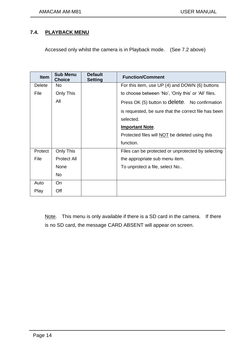## **7.4. PLAYBACK MENU**

Accessed only whilst the camera is in Playback mode. (See 7.2 above)

| <b>Item</b> | <b>Sub Menu</b><br><b>Choice</b> | <b>Default</b><br><b>Setting</b> | <b>Function/Comment</b>                               |
|-------------|----------------------------------|----------------------------------|-------------------------------------------------------|
| Delete      | No                               |                                  | For this item, use UP (4) and DOWN (6) buttons        |
| File        | Only This                        |                                  | to choose between 'No', 'Only this' or 'All' files.   |
|             | All                              |                                  | Press OK (5) button to delete. No confirmation        |
|             |                                  |                                  | is requested, be sure that the correct file has been  |
|             |                                  |                                  | selected.                                             |
|             |                                  |                                  | <b>Important Note.</b>                                |
|             |                                  |                                  | Protected files will <b>NOT</b> be deleted using this |
|             |                                  |                                  | function.                                             |
| Protect     | Only This                        |                                  | Files can be protected or unprotected by selecting    |
| File        | <b>Protect All</b>               |                                  | the appropriate sub menu item.                        |
|             | None                             |                                  | To unprotect a file, select No                        |
|             | <b>No</b>                        |                                  |                                                       |
| Auto        | On                               |                                  |                                                       |
| Play        | Off                              |                                  |                                                       |

Note. This menu is only available if there is a SD card in the camera. If there is no SD card, the message CARD ABSENT will appear on screen.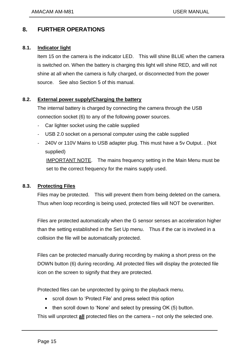# <span id="page-16-0"></span>**8. FURTHER OPERATIONS**

#### <span id="page-16-1"></span>**8.1. Indicator light**

Item 15 on the camera is the indicator LED. This will shine BLUE when the camera is switched on. When the battery is charging this light will shine RED, and will not shine at all when the camera is fully charged, or disconnected from the power source. See also Section 5 of this manual.

## <span id="page-16-2"></span>**8.2. External power supply/Charging the battery**

The internal battery is charged by connecting the camera through the USB connection socket (6) to any of the following power sources.

- Car lighter socket using the cable supplied
- USB 2.0 socket on a personal computer using the cable supplied
- 240V or 110V Mains to USB adapter plug. This must have a 5v Output. . (Not supplied)

IMPORTANT NOTE. The mains frequency setting in the Main Menu must be set to the correct frequency for the mains supply used.

## <span id="page-16-3"></span>**8.3. Protecting Files**

Files may be protected. This will prevent them from being deleted on the camera. Thus when loop recording is being used, protected files will NOT be overwritten.

Files are protected automatically when the G sensor senses an acceleration higher than the setting established in the Set Up menu. Thus if the car is involved in a collision the file will be automatically protected.

Files can be protected manually during recording by making a short press on the DOWN button (6) during recording. All protected files will display the protected file icon on the screen to signify that they are protected.

Protected files can be unprotected by going to the playback menu.

- scroll down to 'Protect File' and press select this option
- then scroll down to 'None' and select by pressing OK (5) button.

This will unprotect **all** protected files on the camera – not only the selected one.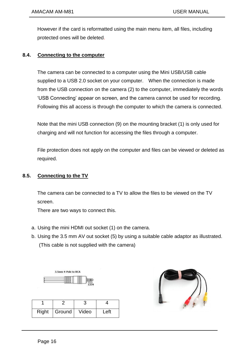However if the card is reformatted using the main menu item, all files, including protected ones will be deleted.

#### <span id="page-17-0"></span>**8.4. Connecting to the computer**

The camera can be connected to a computer using the Mini USB/USB cable supplied to a USB 2.0 socket on your computer. When the connection is made from the USB connection on the camera (2) to the computer, immediately the words 'USB Connecting' appear on screen, and the camera cannot be used for recording. Following this all access is through the computer to which the camera is connected.

Note that the mini USB connection (9) on the mounting bracket (1) is only used for charging and will not function for accessing the files through a computer.

File protection does not apply on the computer and files can be viewed or deleted as required.

#### <span id="page-17-1"></span>**8.5. Connecting to the TV**

The camera can be connected to a TV to allow the files to be viewed on the TV screen.

There are two ways to connect this.

- a. Using the mini HDMI out socket (1) on the camera.
- b. Using the 3.5 mm AV out socket (5) by using a suitable cable adaptor as illustrated. (This cable is not supplied with the camera)



| Right | Ground | Video | Left |
|-------|--------|-------|------|

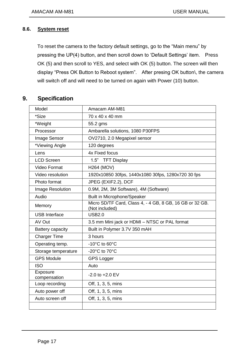#### <span id="page-18-0"></span>**8.6. System reset**

To reset the camera to the factory default settings, go to the "Main menu" by pressing the UP(4) button, and then scroll down to 'Default Settings' item. Press OK (5) and then scroll to YES, and select with OK (5) button. The screen will then display "Press OK Button to Reboot system". After presing OK button\, the camera will switch off and will need to be turned on again with Power (10) button.

## <span id="page-18-1"></span>**9. Specification**

| Model                    | Amacam AM-M81                                                              |
|--------------------------|----------------------------------------------------------------------------|
| *Size                    | 70 x 40 x 40 mm                                                            |
| *Weight                  | 55.2 gms                                                                   |
| Processor                | Ambarella solutions, 1080 P30FPS                                           |
| Image Sensor             | OV2710, 2.0 Megapixel sensor                                               |
| *Viewing Angle           | 120 degrees                                                                |
| Lens                     | 4x Fixed focus                                                             |
| <b>LCD Screen</b>        | 1.5" TFT Display                                                           |
| Video Format             | <b>H264 (MOV)</b>                                                          |
| Video resolution         | 1920x10850 30fps, 1440x1080 30fps, 1280x720 30 fps                         |
| Photo format             | JPEG (EXIF2.2), DCF                                                        |
| Image Resolution         | 0.9M, 2M, 3M Software), 4M (Software)                                      |
| Audio                    | <b>Built in Microphone/Speaker</b>                                         |
| Memory                   | Micro SD/TF Card, Class 4, - 4 GB, 8 GB, 16 GB or 32 GB.<br>(Not included) |
| <b>USB</b> Interface     | <b>USB2.0</b>                                                              |
| AV Out                   | 3.5 mm Mini jack or HDMI - NTSC or PAL format                              |
| <b>Battery capacity</b>  | Built in Polymer 3.7V 350 mAH                                              |
| <b>Charger Time</b>      | 3 hours                                                                    |
| Operating temp.          | $-10^{\circ}$ C to 60 $^{\circ}$ C                                         |
| Storage temperature      | -20°C to 70°C                                                              |
| <b>GPS Module</b>        | <b>GPS Logger</b>                                                          |
| <b>ISO</b>               | Auto                                                                       |
| Exposure<br>compensation | $-2.0$ to $+2.0$ EV                                                        |
| Loop recording           | Off, 1, 3, 5, mins                                                         |
| Auto power off           | Off, 1, 3, 5, mins                                                         |
| Auto screen off          | Off, 1, 3, 5, mins                                                         |
|                          |                                                                            |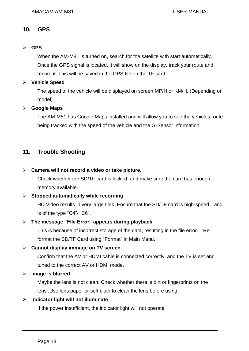## **10. GPS**

#### **GPS**

When the AM-M81 is turned on, search for the satellite with start automatically. Once the GPS signal is located, it will show on the display, track your route and record it. This will be saved in the GPS file on the TF card.

#### **Vehicle Speed**

The speed of the vehicle will be displayed on screen MP/H or KM/H. (Depending on model)

#### **Google Maps**

The AM-M81 has Google Maps installed and will allow you to see the vehicles route being tracked with the speed of the vehicle and the G-Sensor information.

## <span id="page-19-0"></span>**11. Trouble Shooting**

#### **Camera will not record a video or take picture.**

Check whether the SD/TF card is locked, and make sure the card has enough memory available.

#### **Stopped automatically while recording**

HD Video results in very large files, Ensure that the SD/TF card is high-speed and is of the type "C4"/ "C6".

#### **The message "File Error" appears during playback**

This is because of incorrect storage of the data, resulting in the file error. Reformat the SD/TF Card using "Format" in Main Menu.

## **Cannot display immage on TV screen**

Confirm that the AV or HDMI cable is connected correctly, and the TV is set and tuned to the correct AV or HDMI mode.

#### **Image is blurred**

Maybe the lens is not clean. Check whether there is dirt or fingerprints on the lens .Use lens paper or soft cloth to clean the lens before using.

#### **Indicator light will not illuminate**

If the power insufficient, the indicator light will not operate.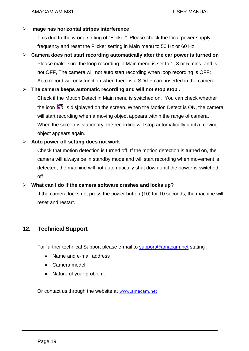## **Image has horizontal stripes interference**

This due to the wrong setting of "Flicker" .Please check the local power supply frequency and reset the Flicker setting in Main menu to 50 Hz or 60 Hz.

 **Camera does not start recording automatically after the car power is turned on** Please make sure the loop recording in Main menu is set to 1, 3 or 5 mins, and is not OFF, The camera will not auto start recording when loop recording is OFF; Auto record will only function when there is a SD/TF card inserted in the camera..

## **The camera keeps automatic recording and will not stop stop .**

Check if the Motion Detect in Main menu is switched on. .You can check whether the icon  $\mathbb{S}$  is dis[played on the screen. When the Motion Detect is ON, the camera will start recording when a moving object appears within the range of camera. When the screen is stationary, the recording will stop automatically until a moving object appears again.

## **Auto power off setting does not work**

Check that motion detection is turned off. If the motion detection is turned on, the camera will always be in standby mode and will start recording when movement is detected, the machine will not automatically shut down until the power is switched off

#### **What can I do if the camera software crashes and locks up?**

If the camera locks up, press the power button (10) for 10 seconds, the machine will reset and restart.

## <span id="page-20-0"></span>**12. Technical Support**

For further technical Support please e-mail to [support@amacam.net](mailto:support@amacam.net) stating :

- Name and e-mail address
- Camera model
- Nature of your problem.

Or contact us through the website at [www.amacam.net](http://www.amacam.net/)